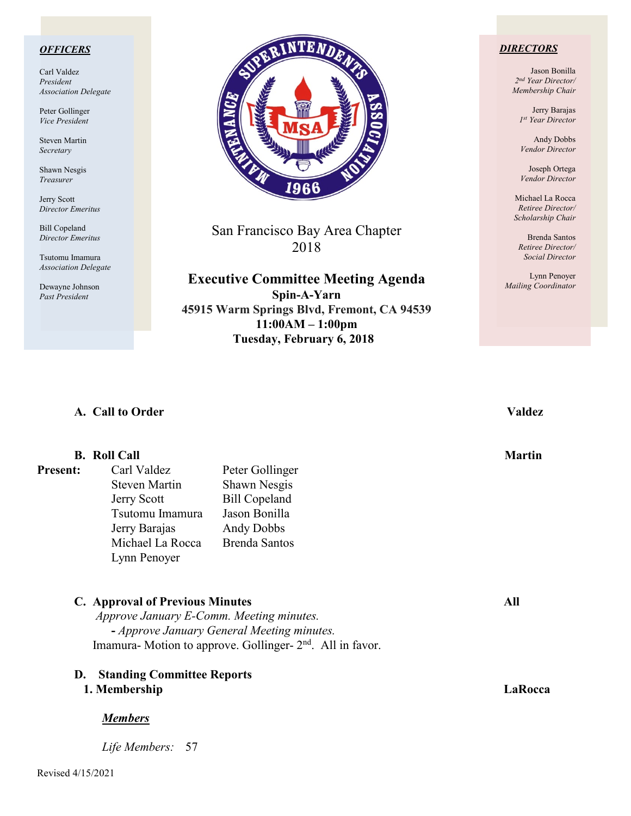### *OFFICERS*

Carl Valdez *President Association Delegate*

Peter Gollinger *Vice President*

Steven Martin *Secretary*

Shawn Nesgis *Treasurer*

Jerry Scott *Director Emeritus*

Bill Copeland *Director Emeritus*

Tsutomu Imamura *Association Delegate*

Dewayne Johnson *Past President*



San Francisco Bay Area Chapter 2018

**Executive Committee Meeting Agenda Spin-A-Yarn 45915 Warm Springs Blvd, Fremont, CA 94539**

> **11:00AM – 1:00pm Tuesday, February 6, 2018**

### *DIRECTORS*

Jason Bonilla *2nd Year Director/ Membership Chair*

> Jerry Barajas *1st Year Director*

Andy Dobbs *Vendor Director*

Joseph Ortega *Vendor Director*

Michael La Rocca *Retiree Director/ Scholarship Chair*

Brenda Santos *Retiree Director/ Social Director*

Lynn Penoyer *Mailing Coordinator*

# **A. Call to Order Valdez**

## **B.** Roll Call Martin **Martin**

**Present:** Carl Valdez Peter Gollinger Steven Martin Shawn Nesgis Jerry Scott Bill Copeland Tsutomu Imamura Jason Bonilla Jerry Barajas Andy Dobbs Michael La Rocca Brenda Santos Lynn Penoyer

**C. Approval of Previous Minutes All** *Approve January E-Comm. Meeting minutes.*  **-** *Approve January General Meeting minutes.* Imamura- Motion to approve. Gollinger- 2<sup>nd</sup>. All in favor.

**D. Standing Committee Reports**

# **1. Membership LaRocca**

### *Members*

*Life Members:* 57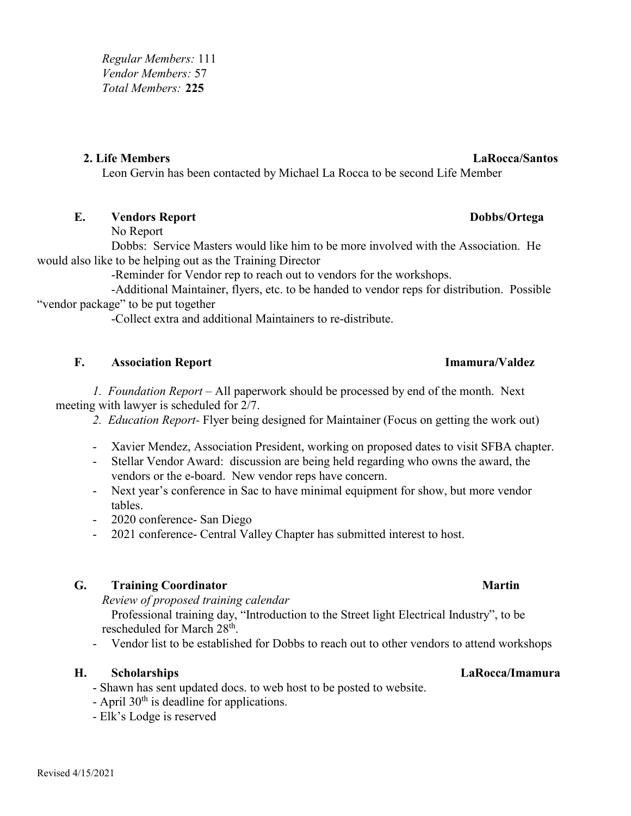*Regular Members:* 111 *Vendor Members:* 57 *Total Members:* **225**

## **2. Life Members LaRocca/Santos**

Leon Gervin has been contacted by Michael La Rocca to be second Life Member

# **E. Vendors Report Dobbs/Ortega**

No Report

Dobbs: Service Masters would like him to be more involved with the Association. He would also like to be helping out as the Training Director

-Reminder for Vendor rep to reach out to vendors for the workshops.

-Additional Maintainer, flyers, etc. to be handed to vendor reps for distribution. Possible "vendor package" to be put together

-Collect extra and additional Maintainers to re-distribute.

# **F. Association Report Imamura/Valdez**

*1. Foundation Report –* All paperwork should be processed by end of the month. Next meeting with lawyer is scheduled for 2/7.

- *2. Education Report-* Flyer being designed for Maintainer (Focus on getting the work out)
- Xavier Mendez, Association President, working on proposed dates to visit SFBA chapter.
- Stellar Vendor Award: discussion are being held regarding who owns the award, the vendors or the e-board. New vendor reps have concern.
- Next year's conference in Sac to have minimal equipment for show, but more vendor tables.
- 2020 conference- San Diego
- 2021 conference- Central Valley Chapter has submitted interest to host.

# **G. Training Coordinator Martin**

*Review of proposed training calendar*

Professional training day, "Introduction to the Street light Electrical Industry", to be rescheduled for March 28th.

- Vendor list to be established for Dobbs to reach out to other vendors to attend workshops

# **H. Scholarships LaRocca/Imamura**

- Shawn has sent updated docs. to web host to be posted to website.
- April  $30<sup>th</sup>$  is deadline for applications.
- Elk's Lodge is reserved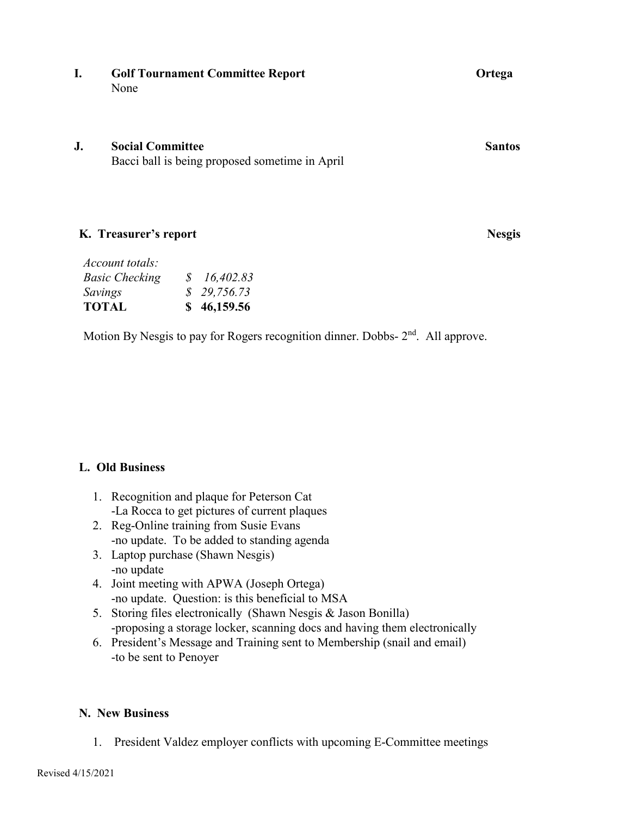## **I. Golf Tournament Committee Report Ortega** None

## **J. Social Committee Santos**

Bacci ball is being proposed sometime in April

# **K. Treasurer's report Nesgis**

| Account totals:       |             |
|-----------------------|-------------|
| <b>Basic Checking</b> | \$16,402.83 |
| Savings               | \$29,756.73 |
| <b>TOTAL</b>          | \$46,159.56 |

Motion By Nesgis to pay for Rogers recognition dinner. Dobbs-  $2<sup>nd</sup>$ . All approve.

# **L. Old Business**

- 1. Recognition and plaque for Peterson Cat -La Rocca to get pictures of current plaques
- 2. Reg-Online training from Susie Evans -no update. To be added to standing agenda
- 3. Laptop purchase (Shawn Nesgis) -no update
- 4. Joint meeting with APWA (Joseph Ortega) -no update. Question: is this beneficial to MSA
- 5. Storing files electronically (Shawn Nesgis & Jason Bonilla) -proposing a storage locker, scanning docs and having them electronically
- 6. President's Message and Training sent to Membership (snail and email) -to be sent to Penoyer

# **N. New Business**

1. President Valdez employer conflicts with upcoming E-Committee meetings